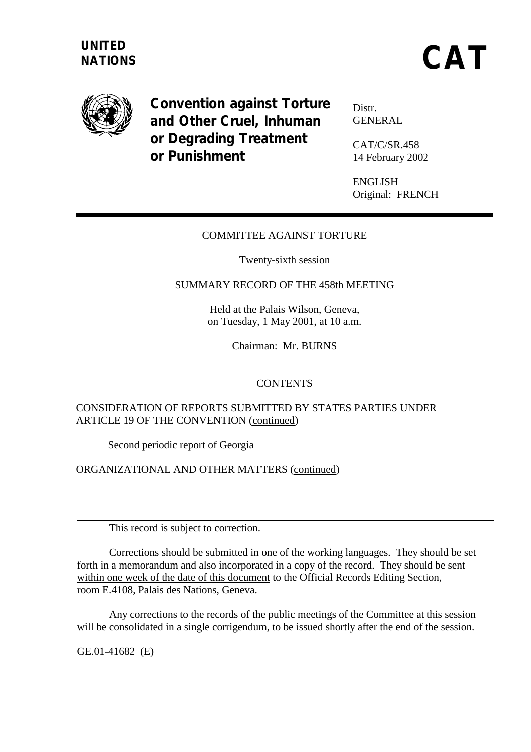

**Convention against Torture and Other Cruel, Inhuman or Degrading Treatment or Punishment** 

Distr. **GENERAL** 

CAT/C/SR.458 14 February 2002

ENGLISH Original: FRENCH

## COMMITTEE AGAINST TORTURE

Twenty-sixth session

#### SUMMARY RECORD OF THE 458th MEETING

Held at the Palais Wilson, Geneva, on Tuesday, 1 May 2001, at 10 a.m.

Chairman: Mr. BURNS

#### **CONTENTS**

## CONSIDERATION OF REPORTS SUBMITTED BY STATES PARTIES UNDER ARTICLE 19 OF THE CONVENTION (continued)

Second periodic report of Georgia

ORGANIZATIONAL AND OTHER MATTERS (continued)

This record is subject to correction.

 Corrections should be submitted in one of the working languages. They should be set forth in a memorandum and also incorporated in a copy of the record. They should be sent within one week of the date of this document to the Official Records Editing Section, room E.4108, Palais des Nations, Geneva.

 Any corrections to the records of the public meetings of the Committee at this session will be consolidated in a single corrigendum, to be issued shortly after the end of the session.

GE.01-41682 (E)

 $\overline{a}$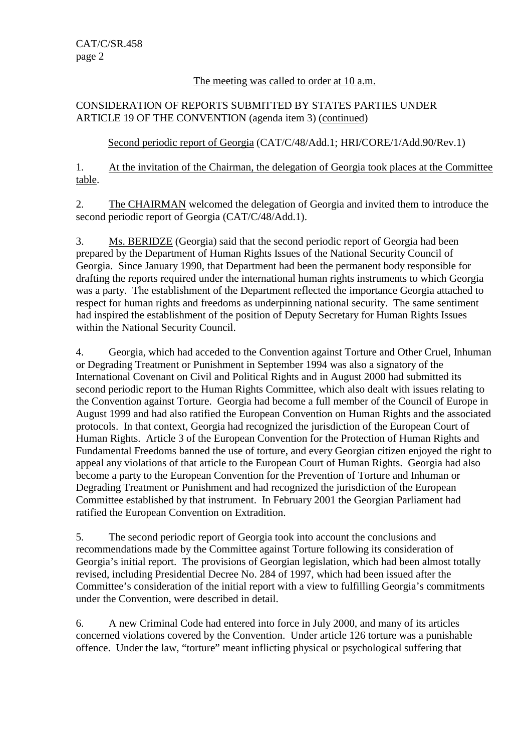## The meeting was called to order at 10 a.m.

## CONSIDERATION OF REPORTS SUBMITTED BY STATES PARTIES UNDER ARTICLE 19 OF THE CONVENTION (agenda item 3) (continued)

# Second periodic report of Georgia (CAT/C/48/Add.1; HRI/CORE/1/Add.90/Rev.1)

1. At the invitation of the Chairman, the delegation of Georgia took places at the Committee table.

2. The CHAIRMAN welcomed the delegation of Georgia and invited them to introduce the second periodic report of Georgia (CAT/C/48/Add.1).

3. Ms. BERIDZE (Georgia) said that the second periodic report of Georgia had been prepared by the Department of Human Rights Issues of the National Security Council of Georgia. Since January 1990, that Department had been the permanent body responsible for drafting the reports required under the international human rights instruments to which Georgia was a party. The establishment of the Department reflected the importance Georgia attached to respect for human rights and freedoms as underpinning national security. The same sentiment had inspired the establishment of the position of Deputy Secretary for Human Rights Issues within the National Security Council.

4. Georgia, which had acceded to the Convention against Torture and Other Cruel, Inhuman or Degrading Treatment or Punishment in September 1994 was also a signatory of the International Covenant on Civil and Political Rights and in August 2000 had submitted its second periodic report to the Human Rights Committee, which also dealt with issues relating to the Convention against Torture. Georgia had become a full member of the Council of Europe in August 1999 and had also ratified the European Convention on Human Rights and the associated protocols. In that context, Georgia had recognized the jurisdiction of the European Court of Human Rights. Article 3 of the European Convention for the Protection of Human Rights and Fundamental Freedoms banned the use of torture, and every Georgian citizen enjoyed the right to appeal any violations of that article to the European Court of Human Rights. Georgia had also become a party to the European Convention for the Prevention of Torture and Inhuman or Degrading Treatment or Punishment and had recognized the jurisdiction of the European Committee established by that instrument. In February 2001 the Georgian Parliament had ratified the European Convention on Extradition.

5. The second periodic report of Georgia took into account the conclusions and recommendations made by the Committee against Torture following its consideration of Georgia's initial report. The provisions of Georgian legislation, which had been almost totally revised, including Presidential Decree No. 284 of 1997, which had been issued after the Committee's consideration of the initial report with a view to fulfilling Georgia's commitments under the Convention, were described in detail.

6. A new Criminal Code had entered into force in July 2000, and many of its articles concerned violations covered by the Convention. Under article 126 torture was a punishable offence. Under the law, "torture" meant inflicting physical or psychological suffering that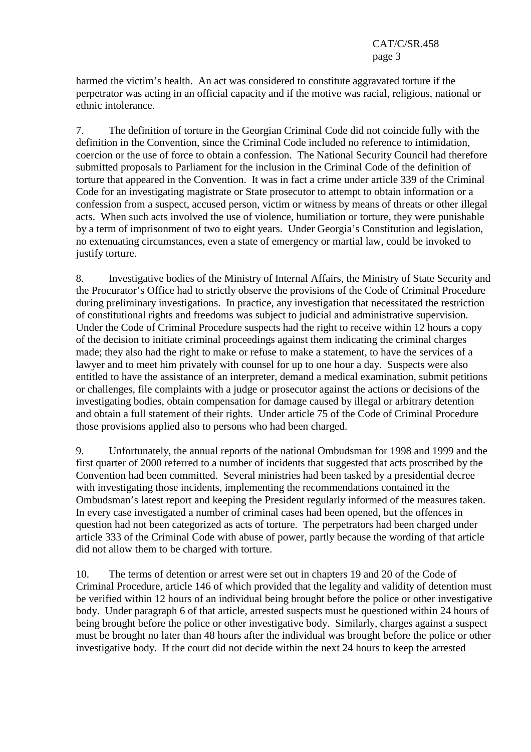harmed the victim's health. An act was considered to constitute aggravated torture if the perpetrator was acting in an official capacity and if the motive was racial, religious, national or ethnic intolerance.

7. The definition of torture in the Georgian Criminal Code did not coincide fully with the definition in the Convention, since the Criminal Code included no reference to intimidation, coercion or the use of force to obtain a confession. The National Security Council had therefore submitted proposals to Parliament for the inclusion in the Criminal Code of the definition of torture that appeared in the Convention. It was in fact a crime under article 339 of the Criminal Code for an investigating magistrate or State prosecutor to attempt to obtain information or a confession from a suspect, accused person, victim or witness by means of threats or other illegal acts. When such acts involved the use of violence, humiliation or torture, they were punishable by a term of imprisonment of two to eight years. Under Georgia's Constitution and legislation, no extenuating circumstances, even a state of emergency or martial law, could be invoked to justify torture.

8. Investigative bodies of the Ministry of Internal Affairs, the Ministry of State Security and the Procurator's Office had to strictly observe the provisions of the Code of Criminal Procedure during preliminary investigations. In practice, any investigation that necessitated the restriction of constitutional rights and freedoms was subject to judicial and administrative supervision. Under the Code of Criminal Procedure suspects had the right to receive within 12 hours a copy of the decision to initiate criminal proceedings against them indicating the criminal charges made; they also had the right to make or refuse to make a statement, to have the services of a lawyer and to meet him privately with counsel for up to one hour a day. Suspects were also entitled to have the assistance of an interpreter, demand a medical examination, submit petitions or challenges, file complaints with a judge or prosecutor against the actions or decisions of the investigating bodies, obtain compensation for damage caused by illegal or arbitrary detention and obtain a full statement of their rights. Under article 75 of the Code of Criminal Procedure those provisions applied also to persons who had been charged.

9. Unfortunately, the annual reports of the national Ombudsman for 1998 and 1999 and the first quarter of 2000 referred to a number of incidents that suggested that acts proscribed by the Convention had been committed. Several ministries had been tasked by a presidential decree with investigating those incidents, implementing the recommendations contained in the Ombudsman's latest report and keeping the President regularly informed of the measures taken. In every case investigated a number of criminal cases had been opened, but the offences in question had not been categorized as acts of torture. The perpetrators had been charged under article 333 of the Criminal Code with abuse of power, partly because the wording of that article did not allow them to be charged with torture.

10. The terms of detention or arrest were set out in chapters 19 and 20 of the Code of Criminal Procedure, article 146 of which provided that the legality and validity of detention must be verified within 12 hours of an individual being brought before the police or other investigative body. Under paragraph 6 of that article, arrested suspects must be questioned within 24 hours of being brought before the police or other investigative body. Similarly, charges against a suspect must be brought no later than 48 hours after the individual was brought before the police or other investigative body. If the court did not decide within the next 24 hours to keep the arrested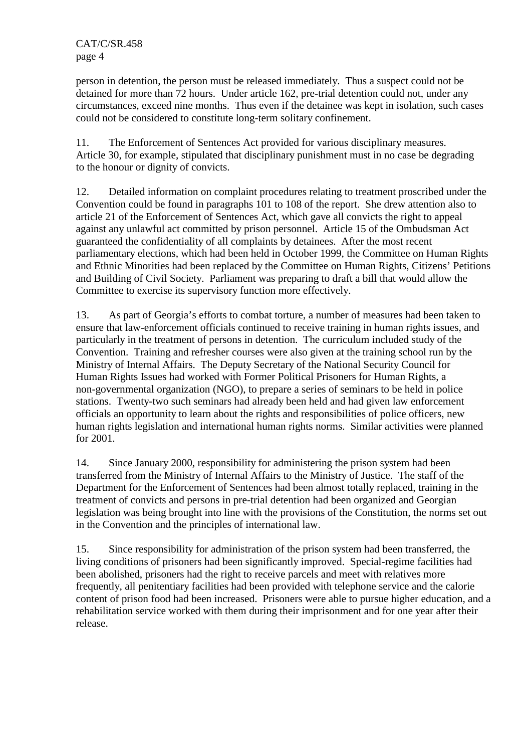person in detention, the person must be released immediately. Thus a suspect could not be detained for more than 72 hours. Under article 162, pre-trial detention could not, under any circumstances, exceed nine months. Thus even if the detainee was kept in isolation, such cases could not be considered to constitute long-term solitary confinement.

11. The Enforcement of Sentences Act provided for various disciplinary measures. Article 30, for example, stipulated that disciplinary punishment must in no case be degrading to the honour or dignity of convicts.

12. Detailed information on complaint procedures relating to treatment proscribed under the Convention could be found in paragraphs 101 to 108 of the report. She drew attention also to article 21 of the Enforcement of Sentences Act, which gave all convicts the right to appeal against any unlawful act committed by prison personnel. Article 15 of the Ombudsman Act guaranteed the confidentiality of all complaints by detainees. After the most recent parliamentary elections, which had been held in October 1999, the Committee on Human Rights and Ethnic Minorities had been replaced by the Committee on Human Rights, Citizens' Petitions and Building of Civil Society. Parliament was preparing to draft a bill that would allow the Committee to exercise its supervisory function more effectively.

13. As part of Georgia's efforts to combat torture, a number of measures had been taken to ensure that law-enforcement officials continued to receive training in human rights issues, and particularly in the treatment of persons in detention. The curriculum included study of the Convention. Training and refresher courses were also given at the training school run by the Ministry of Internal Affairs. The Deputy Secretary of the National Security Council for Human Rights Issues had worked with Former Political Prisoners for Human Rights, a non-governmental organization (NGO), to prepare a series of seminars to be held in police stations. Twenty-two such seminars had already been held and had given law enforcement officials an opportunity to learn about the rights and responsibilities of police officers, new human rights legislation and international human rights norms. Similar activities were planned for 2001.

14. Since January 2000, responsibility for administering the prison system had been transferred from the Ministry of Internal Affairs to the Ministry of Justice. The staff of the Department for the Enforcement of Sentences had been almost totally replaced, training in the treatment of convicts and persons in pre-trial detention had been organized and Georgian legislation was being brought into line with the provisions of the Constitution, the norms set out in the Convention and the principles of international law.

15. Since responsibility for administration of the prison system had been transferred, the living conditions of prisoners had been significantly improved. Special-regime facilities had been abolished, prisoners had the right to receive parcels and meet with relatives more frequently, all penitentiary facilities had been provided with telephone service and the calorie content of prison food had been increased. Prisoners were able to pursue higher education, and a rehabilitation service worked with them during their imprisonment and for one year after their release.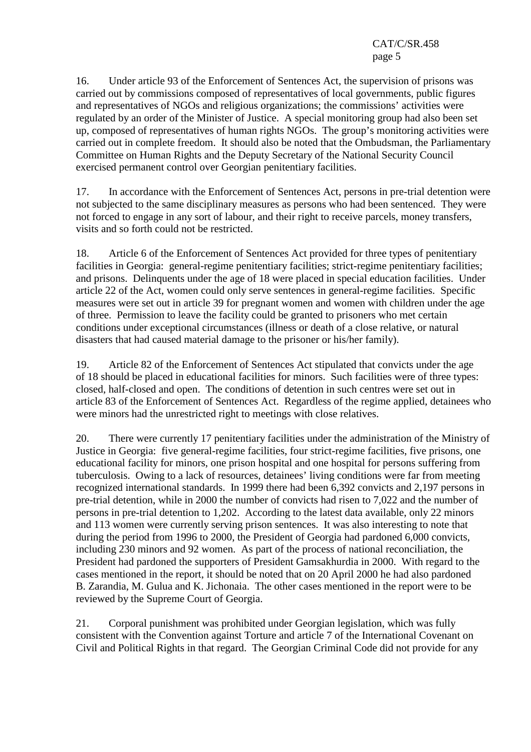16. Under article 93 of the Enforcement of Sentences Act, the supervision of prisons was carried out by commissions composed of representatives of local governments, public figures and representatives of NGOs and religious organizations; the commissions' activities were regulated by an order of the Minister of Justice. A special monitoring group had also been set up, composed of representatives of human rights NGOs. The group's monitoring activities were carried out in complete freedom. It should also be noted that the Ombudsman, the Parliamentary Committee on Human Rights and the Deputy Secretary of the National Security Council exercised permanent control over Georgian penitentiary facilities.

17. In accordance with the Enforcement of Sentences Act, persons in pre-trial detention were not subjected to the same disciplinary measures as persons who had been sentenced. They were not forced to engage in any sort of labour, and their right to receive parcels, money transfers, visits and so forth could not be restricted.

18. Article 6 of the Enforcement of Sentences Act provided for three types of penitentiary facilities in Georgia: general-regime penitentiary facilities; strict-regime penitentiary facilities; and prisons. Delinquents under the age of 18 were placed in special education facilities. Under article 22 of the Act, women could only serve sentences in general-regime facilities. Specific measures were set out in article 39 for pregnant women and women with children under the age of three. Permission to leave the facility could be granted to prisoners who met certain conditions under exceptional circumstances (illness or death of a close relative, or natural disasters that had caused material damage to the prisoner or his/her family).

19. Article 82 of the Enforcement of Sentences Act stipulated that convicts under the age of 18 should be placed in educational facilities for minors. Such facilities were of three types: closed, half-closed and open. The conditions of detention in such centres were set out in article 83 of the Enforcement of Sentences Act. Regardless of the regime applied, detainees who were minors had the unrestricted right to meetings with close relatives.

20. There were currently 17 penitentiary facilities under the administration of the Ministry of Justice in Georgia: five general-regime facilities, four strict-regime facilities, five prisons, one educational facility for minors, one prison hospital and one hospital for persons suffering from tuberculosis. Owing to a lack of resources, detainees' living conditions were far from meeting recognized international standards. In 1999 there had been 6,392 convicts and 2,197 persons in pre-trial detention, while in 2000 the number of convicts had risen to 7,022 and the number of persons in pre-trial detention to 1,202. According to the latest data available, only 22 minors and 113 women were currently serving prison sentences. It was also interesting to note that during the period from 1996 to 2000, the President of Georgia had pardoned 6,000 convicts, including 230 minors and 92 women. As part of the process of national reconciliation, the President had pardoned the supporters of President Gamsakhurdia in 2000. With regard to the cases mentioned in the report, it should be noted that on 20 April 2000 he had also pardoned B. Zarandia, M. Gulua and K. Jichonaia. The other cases mentioned in the report were to be reviewed by the Supreme Court of Georgia.

21. Corporal punishment was prohibited under Georgian legislation, which was fully consistent with the Convention against Torture and article 7 of the International Covenant on Civil and Political Rights in that regard. The Georgian Criminal Code did not provide for any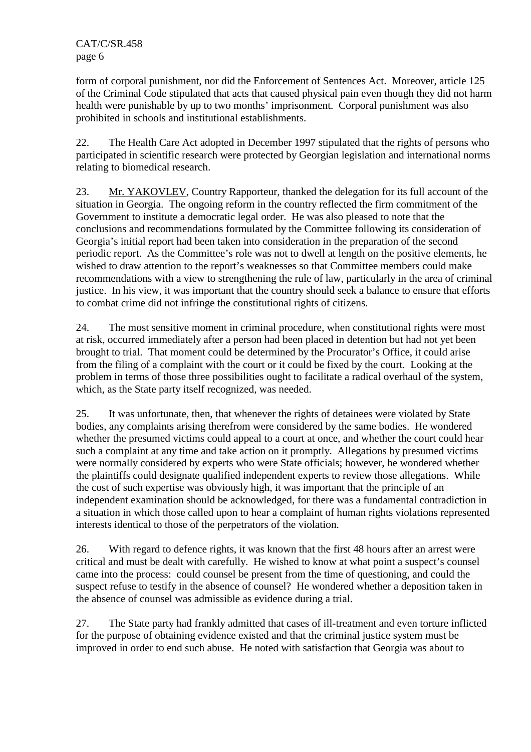form of corporal punishment, nor did the Enforcement of Sentences Act. Moreover, article 125 of the Criminal Code stipulated that acts that caused physical pain even though they did not harm health were punishable by up to two months' imprisonment. Corporal punishment was also prohibited in schools and institutional establishments.

22. The Health Care Act adopted in December 1997 stipulated that the rights of persons who participated in scientific research were protected by Georgian legislation and international norms relating to biomedical research.

23. Mr. YAKOVLEV, Country Rapporteur, thanked the delegation for its full account of the situation in Georgia. The ongoing reform in the country reflected the firm commitment of the Government to institute a democratic legal order. He was also pleased to note that the conclusions and recommendations formulated by the Committee following its consideration of Georgia's initial report had been taken into consideration in the preparation of the second periodic report. As the Committee's role was not to dwell at length on the positive elements, he wished to draw attention to the report's weaknesses so that Committee members could make recommendations with a view to strengthening the rule of law, particularly in the area of criminal justice. In his view, it was important that the country should seek a balance to ensure that efforts to combat crime did not infringe the constitutional rights of citizens.

24. The most sensitive moment in criminal procedure, when constitutional rights were most at risk, occurred immediately after a person had been placed in detention but had not yet been brought to trial. That moment could be determined by the Procurator's Office, it could arise from the filing of a complaint with the court or it could be fixed by the court. Looking at the problem in terms of those three possibilities ought to facilitate a radical overhaul of the system, which, as the State party itself recognized, was needed.

25. It was unfortunate, then, that whenever the rights of detainees were violated by State bodies, any complaints arising therefrom were considered by the same bodies. He wondered whether the presumed victims could appeal to a court at once, and whether the court could hear such a complaint at any time and take action on it promptly. Allegations by presumed victims were normally considered by experts who were State officials; however, he wondered whether the plaintiffs could designate qualified independent experts to review those allegations. While the cost of such expertise was obviously high, it was important that the principle of an independent examination should be acknowledged, for there was a fundamental contradiction in a situation in which those called upon to hear a complaint of human rights violations represented interests identical to those of the perpetrators of the violation.

26. With regard to defence rights, it was known that the first 48 hours after an arrest were critical and must be dealt with carefully. He wished to know at what point a suspect's counsel came into the process: could counsel be present from the time of questioning, and could the suspect refuse to testify in the absence of counsel? He wondered whether a deposition taken in the absence of counsel was admissible as evidence during a trial.

27. The State party had frankly admitted that cases of ill-treatment and even torture inflicted for the purpose of obtaining evidence existed and that the criminal justice system must be improved in order to end such abuse. He noted with satisfaction that Georgia was about to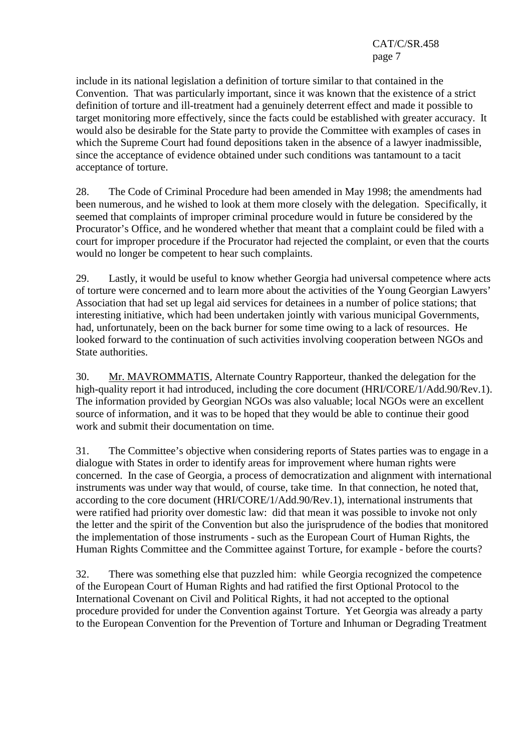include in its national legislation a definition of torture similar to that contained in the Convention. That was particularly important, since it was known that the existence of a strict definition of torture and ill-treatment had a genuinely deterrent effect and made it possible to target monitoring more effectively, since the facts could be established with greater accuracy. It would also be desirable for the State party to provide the Committee with examples of cases in which the Supreme Court had found depositions taken in the absence of a lawyer inadmissible, since the acceptance of evidence obtained under such conditions was tantamount to a tacit acceptance of torture.

28. The Code of Criminal Procedure had been amended in May 1998; the amendments had been numerous, and he wished to look at them more closely with the delegation. Specifically, it seemed that complaints of improper criminal procedure would in future be considered by the Procurator's Office, and he wondered whether that meant that a complaint could be filed with a court for improper procedure if the Procurator had rejected the complaint, or even that the courts would no longer be competent to hear such complaints.

29. Lastly, it would be useful to know whether Georgia had universal competence where acts of torture were concerned and to learn more about the activities of the Young Georgian Lawyers' Association that had set up legal aid services for detainees in a number of police stations; that interesting initiative, which had been undertaken jointly with various municipal Governments, had, unfortunately, been on the back burner for some time owing to a lack of resources. He looked forward to the continuation of such activities involving cooperation between NGOs and State authorities.

30. Mr. MAVROMMATIS, Alternate Country Rapporteur, thanked the delegation for the high-quality report it had introduced, including the core document (HRI/CORE/1/Add.90/Rev.1). The information provided by Georgian NGOs was also valuable; local NGOs were an excellent source of information, and it was to be hoped that they would be able to continue their good work and submit their documentation on time.

31. The Committee's objective when considering reports of States parties was to engage in a dialogue with States in order to identify areas for improvement where human rights were concerned. In the case of Georgia, a process of democratization and alignment with international instruments was under way that would, of course, take time. In that connection, he noted that, according to the core document (HRI/CORE/1/Add.90/Rev.1), international instruments that were ratified had priority over domestic law: did that mean it was possible to invoke not only the letter and the spirit of the Convention but also the jurisprudence of the bodies that monitored the implementation of those instruments - such as the European Court of Human Rights, the Human Rights Committee and the Committee against Torture, for example - before the courts?

32. There was something else that puzzled him: while Georgia recognized the competence of the European Court of Human Rights and had ratified the first Optional Protocol to the International Covenant on Civil and Political Rights, it had not accepted to the optional procedure provided for under the Convention against Torture. Yet Georgia was already a party to the European Convention for the Prevention of Torture and Inhuman or Degrading Treatment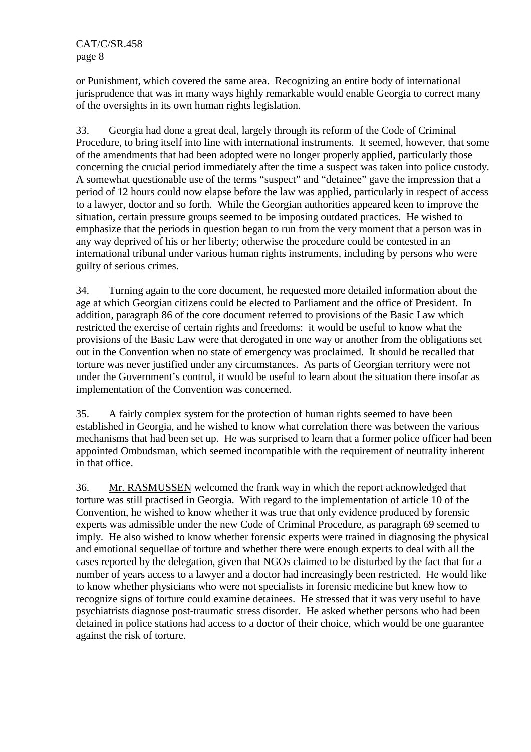or Punishment, which covered the same area. Recognizing an entire body of international jurisprudence that was in many ways highly remarkable would enable Georgia to correct many of the oversights in its own human rights legislation.

33. Georgia had done a great deal, largely through its reform of the Code of Criminal Procedure, to bring itself into line with international instruments. It seemed, however, that some of the amendments that had been adopted were no longer properly applied, particularly those concerning the crucial period immediately after the time a suspect was taken into police custody. A somewhat questionable use of the terms "suspect" and "detainee" gave the impression that a period of 12 hours could now elapse before the law was applied, particularly in respect of access to a lawyer, doctor and so forth. While the Georgian authorities appeared keen to improve the situation, certain pressure groups seemed to be imposing outdated practices. He wished to emphasize that the periods in question began to run from the very moment that a person was in any way deprived of his or her liberty; otherwise the procedure could be contested in an international tribunal under various human rights instruments, including by persons who were guilty of serious crimes.

34. Turning again to the core document, he requested more detailed information about the age at which Georgian citizens could be elected to Parliament and the office of President. In addition, paragraph 86 of the core document referred to provisions of the Basic Law which restricted the exercise of certain rights and freedoms: it would be useful to know what the provisions of the Basic Law were that derogated in one way or another from the obligations set out in the Convention when no state of emergency was proclaimed. It should be recalled that torture was never justified under any circumstances. As parts of Georgian territory were not under the Government's control, it would be useful to learn about the situation there insofar as implementation of the Convention was concerned.

35. A fairly complex system for the protection of human rights seemed to have been established in Georgia, and he wished to know what correlation there was between the various mechanisms that had been set up. He was surprised to learn that a former police officer had been appointed Ombudsman, which seemed incompatible with the requirement of neutrality inherent in that office.

36. Mr. RASMUSSEN welcomed the frank way in which the report acknowledged that torture was still practised in Georgia. With regard to the implementation of article 10 of the Convention, he wished to know whether it was true that only evidence produced by forensic experts was admissible under the new Code of Criminal Procedure, as paragraph 69 seemed to imply. He also wished to know whether forensic experts were trained in diagnosing the physical and emotional sequellae of torture and whether there were enough experts to deal with all the cases reported by the delegation, given that NGOs claimed to be disturbed by the fact that for a number of years access to a lawyer and a doctor had increasingly been restricted. He would like to know whether physicians who were not specialists in forensic medicine but knew how to recognize signs of torture could examine detainees. He stressed that it was very useful to have psychiatrists diagnose post-traumatic stress disorder. He asked whether persons who had been detained in police stations had access to a doctor of their choice, which would be one guarantee against the risk of torture.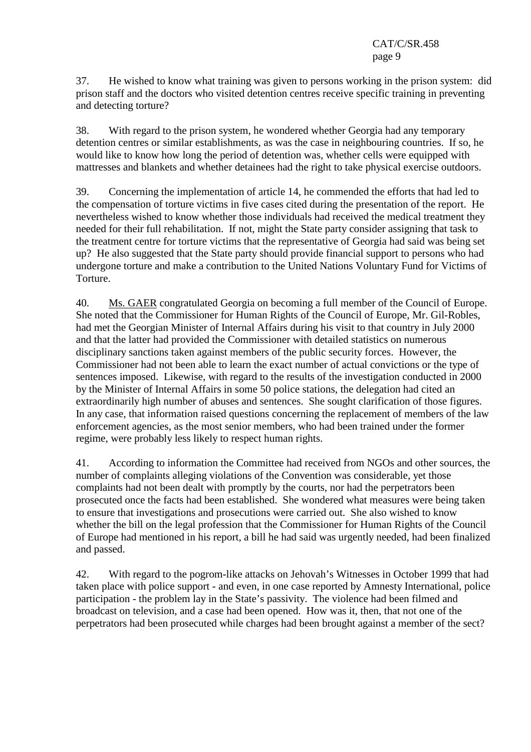37. He wished to know what training was given to persons working in the prison system: did prison staff and the doctors who visited detention centres receive specific training in preventing and detecting torture?

38. With regard to the prison system, he wondered whether Georgia had any temporary detention centres or similar establishments, as was the case in neighbouring countries. If so, he would like to know how long the period of detention was, whether cells were equipped with mattresses and blankets and whether detainees had the right to take physical exercise outdoors.

39. Concerning the implementation of article 14, he commended the efforts that had led to the compensation of torture victims in five cases cited during the presentation of the report. He nevertheless wished to know whether those individuals had received the medical treatment they needed for their full rehabilitation. If not, might the State party consider assigning that task to the treatment centre for torture victims that the representative of Georgia had said was being set up? He also suggested that the State party should provide financial support to persons who had undergone torture and make a contribution to the United Nations Voluntary Fund for Victims of Torture.

40. Ms. GAER congratulated Georgia on becoming a full member of the Council of Europe. She noted that the Commissioner for Human Rights of the Council of Europe, Mr. Gil-Robles, had met the Georgian Minister of Internal Affairs during his visit to that country in July 2000 and that the latter had provided the Commissioner with detailed statistics on numerous disciplinary sanctions taken against members of the public security forces. However, the Commissioner had not been able to learn the exact number of actual convictions or the type of sentences imposed. Likewise, with regard to the results of the investigation conducted in 2000 by the Minister of Internal Affairs in some 50 police stations, the delegation had cited an extraordinarily high number of abuses and sentences. She sought clarification of those figures. In any case, that information raised questions concerning the replacement of members of the law enforcement agencies, as the most senior members, who had been trained under the former regime, were probably less likely to respect human rights.

41. According to information the Committee had received from NGOs and other sources, the number of complaints alleging violations of the Convention was considerable, yet those complaints had not been dealt with promptly by the courts, nor had the perpetrators been prosecuted once the facts had been established. She wondered what measures were being taken to ensure that investigations and prosecutions were carried out. She also wished to know whether the bill on the legal profession that the Commissioner for Human Rights of the Council of Europe had mentioned in his report, a bill he had said was urgently needed, had been finalized and passed.

42. With regard to the pogrom-like attacks on Jehovah's Witnesses in October 1999 that had taken place with police support - and even, in one case reported by Amnesty International, police participation - the problem lay in the State's passivity. The violence had been filmed and broadcast on television, and a case had been opened. How was it, then, that not one of the perpetrators had been prosecuted while charges had been brought against a member of the sect?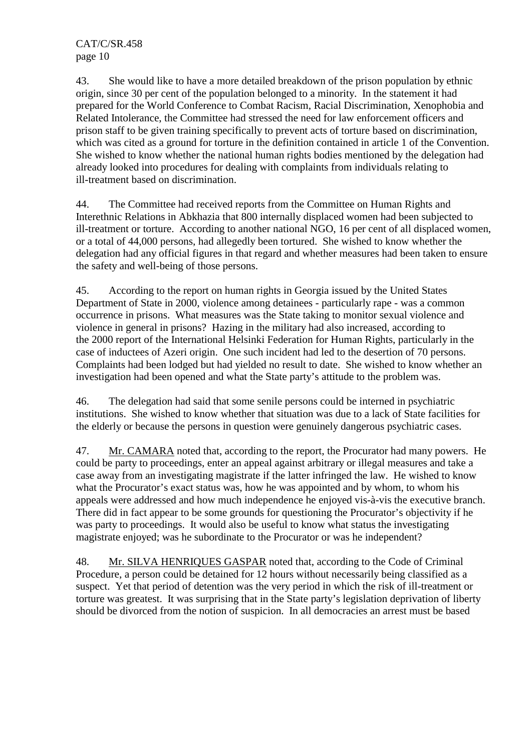43. She would like to have a more detailed breakdown of the prison population by ethnic origin, since 30 per cent of the population belonged to a minority. In the statement it had prepared for the World Conference to Combat Racism, Racial Discrimination, Xenophobia and Related Intolerance, the Committee had stressed the need for law enforcement officers and prison staff to be given training specifically to prevent acts of torture based on discrimination, which was cited as a ground for torture in the definition contained in article 1 of the Convention. She wished to know whether the national human rights bodies mentioned by the delegation had already looked into procedures for dealing with complaints from individuals relating to ill-treatment based on discrimination.

44. The Committee had received reports from the Committee on Human Rights and Interethnic Relations in Abkhazia that 800 internally displaced women had been subjected to ill-treatment or torture. According to another national NGO, 16 per cent of all displaced women, or a total of 44,000 persons, had allegedly been tortured. She wished to know whether the delegation had any official figures in that regard and whether measures had been taken to ensure the safety and well-being of those persons.

45. According to the report on human rights in Georgia issued by the United States Department of State in 2000, violence among detainees - particularly rape - was a common occurrence in prisons. What measures was the State taking to monitor sexual violence and violence in general in prisons? Hazing in the military had also increased, according to the 2000 report of the International Helsinki Federation for Human Rights, particularly in the case of inductees of Azeri origin. One such incident had led to the desertion of 70 persons. Complaints had been lodged but had yielded no result to date. She wished to know whether an investigation had been opened and what the State party's attitude to the problem was.

46. The delegation had said that some senile persons could be interned in psychiatric institutions. She wished to know whether that situation was due to a lack of State facilities for the elderly or because the persons in question were genuinely dangerous psychiatric cases.

47. Mr. CAMARA noted that, according to the report, the Procurator had many powers. He could be party to proceedings, enter an appeal against arbitrary or illegal measures and take a case away from an investigating magistrate if the latter infringed the law. He wished to know what the Procurator's exact status was, how he was appointed and by whom, to whom his appeals were addressed and how much independence he enjoyed vis-à-vis the executive branch. There did in fact appear to be some grounds for questioning the Procurator's objectivity if he was party to proceedings. It would also be useful to know what status the investigating magistrate enjoyed; was he subordinate to the Procurator or was he independent?

48. Mr. SILVA HENRIQUES GASPAR noted that, according to the Code of Criminal Procedure, a person could be detained for 12 hours without necessarily being classified as a suspect. Yet that period of detention was the very period in which the risk of ill-treatment or torture was greatest. It was surprising that in the State party's legislation deprivation of liberty should be divorced from the notion of suspicion. In all democracies an arrest must be based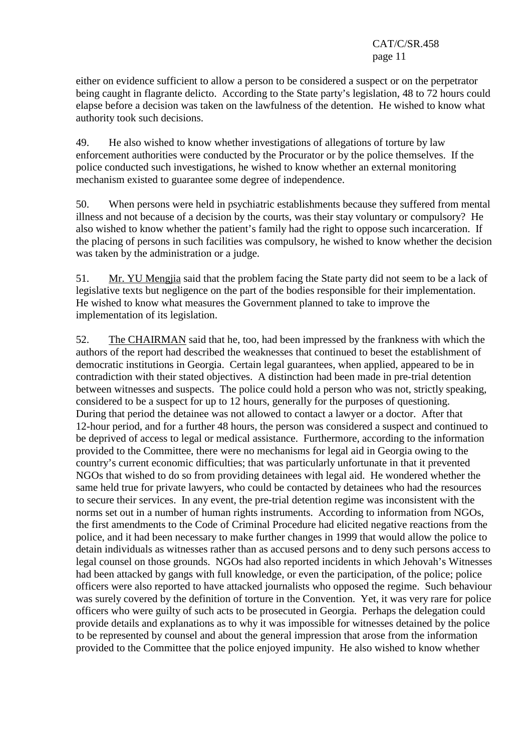either on evidence sufficient to allow a person to be considered a suspect or on the perpetrator being caught in flagrante delicto. According to the State party's legislation, 48 to 72 hours could elapse before a decision was taken on the lawfulness of the detention. He wished to know what authority took such decisions.

49. He also wished to know whether investigations of allegations of torture by law enforcement authorities were conducted by the Procurator or by the police themselves. If the police conducted such investigations, he wished to know whether an external monitoring mechanism existed to guarantee some degree of independence.

50. When persons were held in psychiatric establishments because they suffered from mental illness and not because of a decision by the courts, was their stay voluntary or compulsory? He also wished to know whether the patient's family had the right to oppose such incarceration. If the placing of persons in such facilities was compulsory, he wished to know whether the decision was taken by the administration or a judge.

51. Mr. YU Mengjia said that the problem facing the State party did not seem to be a lack of legislative texts but negligence on the part of the bodies responsible for their implementation. He wished to know what measures the Government planned to take to improve the implementation of its legislation.

52. The CHAIRMAN said that he, too, had been impressed by the frankness with which the authors of the report had described the weaknesses that continued to beset the establishment of democratic institutions in Georgia. Certain legal guarantees, when applied, appeared to be in contradiction with their stated objectives. A distinction had been made in pre-trial detention between witnesses and suspects. The police could hold a person who was not, strictly speaking, considered to be a suspect for up to 12 hours, generally for the purposes of questioning. During that period the detainee was not allowed to contact a lawyer or a doctor. After that 12-hour period, and for a further 48 hours, the person was considered a suspect and continued to be deprived of access to legal or medical assistance. Furthermore, according to the information provided to the Committee, there were no mechanisms for legal aid in Georgia owing to the country's current economic difficulties; that was particularly unfortunate in that it prevented NGOs that wished to do so from providing detainees with legal aid. He wondered whether the same held true for private lawyers, who could be contacted by detainees who had the resources to secure their services. In any event, the pre-trial detention regime was inconsistent with the norms set out in a number of human rights instruments. According to information from NGOs, the first amendments to the Code of Criminal Procedure had elicited negative reactions from the police, and it had been necessary to make further changes in 1999 that would allow the police to detain individuals as witnesses rather than as accused persons and to deny such persons access to legal counsel on those grounds. NGOs had also reported incidents in which Jehovah's Witnesses had been attacked by gangs with full knowledge, or even the participation, of the police; police officers were also reported to have attacked journalists who opposed the regime. Such behaviour was surely covered by the definition of torture in the Convention. Yet, it was very rare for police officers who were guilty of such acts to be prosecuted in Georgia. Perhaps the delegation could provide details and explanations as to why it was impossible for witnesses detained by the police to be represented by counsel and about the general impression that arose from the information provided to the Committee that the police enjoyed impunity. He also wished to know whether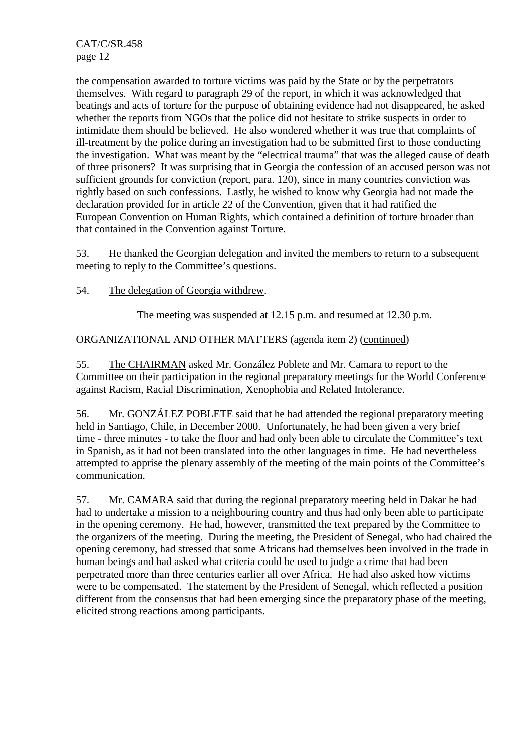the compensation awarded to torture victims was paid by the State or by the perpetrators themselves. With regard to paragraph 29 of the report, in which it was acknowledged that beatings and acts of torture for the purpose of obtaining evidence had not disappeared, he asked whether the reports from NGOs that the police did not hesitate to strike suspects in order to intimidate them should be believed. He also wondered whether it was true that complaints of ill-treatment by the police during an investigation had to be submitted first to those conducting the investigation. What was meant by the "electrical trauma" that was the alleged cause of death of three prisoners? It was surprising that in Georgia the confession of an accused person was not sufficient grounds for conviction (report, para. 120), since in many countries conviction was rightly based on such confessions. Lastly, he wished to know why Georgia had not made the declaration provided for in article 22 of the Convention, given that it had ratified the European Convention on Human Rights, which contained a definition of torture broader than that contained in the Convention against Torture.

53. He thanked the Georgian delegation and invited the members to return to a subsequent meeting to reply to the Committee's questions.

54. The delegation of Georgia withdrew.

The meeting was suspended at 12.15 p.m. and resumed at 12.30 p.m.

ORGANIZATIONAL AND OTHER MATTERS (agenda item 2) (continued)

55. The CHAIRMAN asked Mr. González Poblete and Mr. Camara to report to the Committee on their participation in the regional preparatory meetings for the World Conference against Racism, Racial Discrimination, Xenophobia and Related Intolerance.

56. Mr. GONZÁLEZ POBLETE said that he had attended the regional preparatory meeting held in Santiago, Chile, in December 2000. Unfortunately, he had been given a very brief time - three minutes - to take the floor and had only been able to circulate the Committee's text in Spanish, as it had not been translated into the other languages in time. He had nevertheless attempted to apprise the plenary assembly of the meeting of the main points of the Committee's communication.

57. Mr. CAMARA said that during the regional preparatory meeting held in Dakar he had had to undertake a mission to a neighbouring country and thus had only been able to participate in the opening ceremony. He had, however, transmitted the text prepared by the Committee to the organizers of the meeting. During the meeting, the President of Senegal, who had chaired the opening ceremony, had stressed that some Africans had themselves been involved in the trade in human beings and had asked what criteria could be used to judge a crime that had been perpetrated more than three centuries earlier all over Africa. He had also asked how victims were to be compensated. The statement by the President of Senegal, which reflected a position different from the consensus that had been emerging since the preparatory phase of the meeting, elicited strong reactions among participants.